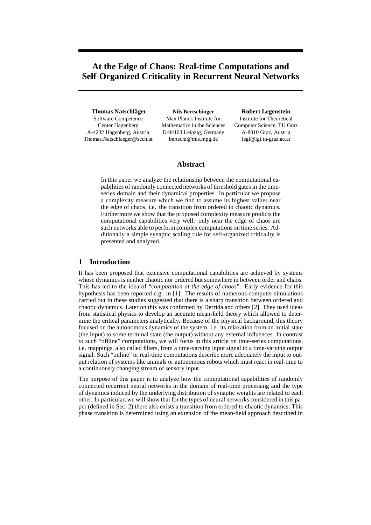# **At the Edge of Chaos: Real-time Computations and Self-Organized Criticality in Recurrent Neural Networks**

**Thomas Natschlager ¨** Software Competence

Center Hagenberg A-4232 Hagenberg, Austria Thomas.Natschlaeger@scch.at

**Nils Bertschinger** Max Planck Institute for Mathematics in the Sciences D-04103 Leipzig, Germany bertschi@mis.mpg.de

#### **Robert Legenstein**

Institute for Theoretical Computer Science, TU Graz A-8010 Graz, Austria legi@igi.tu-graz.ac.at

# **Abstract**

In this paper we analyze the relationship between the computational capabilities of randomly connected networks of threshold gates in the timeseries domain and their dynamical properties. In particular we propose a complexity measure which we find to assume its highest values near the edge of chaos, i.e. the transition from ordered to chaotic dynamics. Furthermore we show that the proposed complexity measure predicts the computational capabilities very well: only near the edge of chaos are such networks able to perform complex computations on time series. Additionally a simple synaptic scaling rule for self-organized criticality is presented and analyzed.

## **1 Introduction**

It has been proposed that extensive computational capabilities are achieved by systems whose dynamics is neither chaotic nor ordered but somewhere in between order and chaos. This has led to the idea of "*computation at the edge of chaos*". Early evidence for this hypothesis has been reported e.g. in [1]. The results of numerous computer simulations carried out in these studies suggested that there is a sharp transition between ordered and chaotic dynamics. Later on this was confirmed by Derrida and others [2]. They used ideas from statistical physics to develop an accurate mean-field theory which allowed to determine the critical parameters analytically. Because of the physical background, this theory focused on the autonomous dynamics of the system, i.e. its relaxation from an initial state (the input) to some terminal state (the output) without any external influences. In contrast to such "offline" computations, we will focus in this article on time-series computations, i.e. mappings, also called filters, from a time-varying input signal to a time-varying output signal. Such "online" or real-time computations describe more adequately the input to output relation of systems like animals or autonomous robots which must react in real-time to a continuously changing stream of sensory input.

The purpose of this paper is to analyze how the computational capabilities of randomly connected recurrent neural networks in the domain of real-time processing and the type of dynamics induced by the underlying distribution of synaptic weights are related to each other. In particular, we will show that for the types of neural networks considered in this paper (defined in Sec. 2) there also exists a transition from ordered to chaotic dynamics. This phase transition is determined using an extension of the mean-field approach described in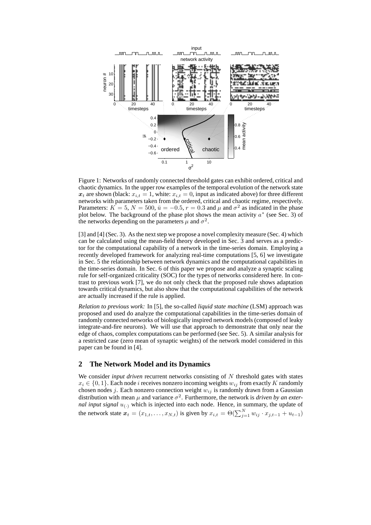

Figure 1: Networks of randomly connected threshold gates can exhibit ordered, critical and chaotic dynamics. In the upper row examples of the temporal evolution of the network state  $x_t$  are shown (black:  $x_{i,t} = 1$ , white:  $x_{i,t} = 0$ , input as indicated above) for three different networks with parameters taken from the ordered, critical and chaotic regime, respectively. Parameters:  $K = 5, N = 500, \bar{u} = -0.5, r = 0.3$  and  $\mu$  and  $\sigma^2$  as indicated in the phase plot below. The background of the phase plot shows the mean activity  $a^*$  (see Sec. 3) of the networks depending on the parameters  $\mu$  and  $\sigma^2$ .

[3] and [4] (Sec. 3). As the next step we propose a novel complexity measure (Sec. 4) which can be calculated using the mean-field theory developed in Sec. 3 and serves as a predictor for the computational capability of a network in the time-series domain. Employing a recently developed framework for analyzing real-time computations [5, 6] we investigate in Sec. 5 the relationship between network dynamics and the computational capabilities in the time-series domain. In Sec. 6 of this paper we propose and analyze a synaptic scaling rule for self-organized criticality (SOC) for the types of networks considered here. In contrast to previous work [7], we do not only check that the proposed rule shows adaptation towards critical dynamics, but also show that the computational capabilities of the network are actually increased if the rule is applied.

*Relation to previous work:* In [5], the so-called *liquid state machine* (LSM) approach was proposed and used do analyze the computational capabilities in the time-series domain of randomly connected networks of biologically inspired network models (composed of leaky integrate-and-fire neurons). We will use that approach to demonstrate that only near the edge of chaos, complex computations can be performed (see Sec. 5). A similar analysis for a restricted case (zero mean of synaptic weights) of the network model considered in this paper can be found in [4].

# **2 The Network Model and its Dynamics**

We consider *input driven* recurrent networks consisting of N threshold gates with states  $x_i \in \{0, 1\}$ . Each node *i* receives nonzero incoming weights  $w_{ij}$  from exactly K randomly chosen nodes *j*. Each nonzero connection weight  $w_{ij}$  is randomly drawn from a Gaussian distribution with mean  $\mu$  and variance  $\sigma^2$ . Furthermore, the network is *driven by an external input signal*  $u_{(.)}$  which is injected into each node. Hence, in summary, the update of the network state  $x_t = (x_{1,t}, \dots, x_{N,t})$  is given by  $x_{i,t} = \Theta(\sum_{j=1}^N w_{ij} \cdot x_{j,t-1} + u_{t-1})$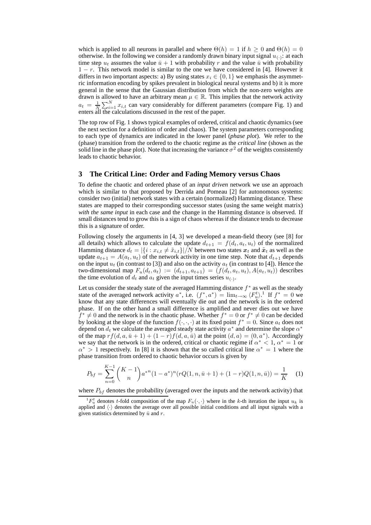which is applied to all neurons in parallel and where  $\Theta(h) = 1$  if  $h > 0$  and  $\Theta(h) = 0$ otherwise. In the following we consider a randomly drawn binary input signal  $u_{(.)}$ : at each time step  $u_t$  assumes the value  $\bar{u}+1$  with probability r and the value  $\bar{u}$  with probability  $1 - r$ . This network model is similar to the one we have considered in [4]. However it differs in two important aspects: a) By using states  $x_i \in \{0, 1\}$  we emphasis the asymmetric information encoding by spikes prevalent in biological neural systems and b) it is more general in the sense that the Gaussian distribution from which the non-zero weights are drawn is allowed to have an arbitrary mean  $\mu \in \mathbb{R}$ . This implies that the network activity  $a_t = \frac{1}{N} \sum_{i=1}^{N} x_{i,t}$  can vary considerably for different parameters (compare Fig. 1) and enters all the calculations discussed in the rest of the paper.

The top row of Fig. 1 shows typical examples of ordered, critical and chaotic dynamics (see the next section for a definition of order and chaos). The system parameters corresponding to each type of dynamics are indicated in the lower panel (*phase plot*). We refer to the (phase) transition from the ordered to the chaotic regime as the *critical line* (shown as the solid line in the phase plot). Note that increasing the variance  $\sigma^2$  of the weights consistently leads to chaotic behavior.

## **3 The Critical Line: Order and Fading Memory versus Chaos**

To define the chaotic and ordered phase of an *input driven* network we use an approach which is similar to that proposed by Derrida and Pomeau [2] for autonomous systems: consider two (initial) network states with a certain (normalized) Hamming distance. These states are mapped to their corresponding successor states (using the same weight matrix) *with the same input* in each case and the change in the Hamming distance is observed. If small distances tend to grow this is a sign of chaos whereas if the distance tends to decrease this is a signature of order.

Following closely the arguments in [4, 3] we developed a mean-field theory (see [8] for all details) which allows to calculate the update  $d_{t+1} = f(d_t, a_t, u_t)$  of the normalized Hamming distance  $d_t = |\{i : x_{i,t} \neq \tilde{x}_{i,t}\}|/N$  between two states  $x_t$  and  $\tilde{x}_t$  as well as the update  $a_{t+1} = A(a_t, u_t)$  of the network activity in one time step. Note that  $d_{t+1}$  depends on the input  $u_t$  (in contrast to [3]) and also on the activity  $a_t$  (in contrast to [4]). Hence the two-dimensional map  $F_u(d_t, a_t) := (d_{t+1}, a_{t+1}) = (f(d_t, a_t, u_t), A(a_t, u_t))$  describes the time evolution of  $d_t$  and  $a_t$  given the input times series  $u_{(\cdot)}$ .

Let us consider the steady state of the averaged Hamming distance  $f^*$  as well as the steady state of the averaged network activity  $a^*$ , i.e.  $(f^*, a^*) = \lim_{t \to \infty} \langle F_u^t \rangle$ .<sup>1</sup> If  $f^* = 0$  we know that any state differences will eventually die out and the network is in the ordered phase. If on the other hand a small difference is amplified and never dies out we have  $f^* \neq 0$  and the network is in the chaotic phase. Whether  $f^* = 0$  or  $f^* \neq 0$  can be decided by looking at the slope of the function  $f(\cdot, \cdot, \cdot)$  at its fixed point  $f^* = 0$ . Since  $a_t$  does not depend on  $d_t$  we calculate the averaged steady state activity  $a^*$  and determine the slope  $\alpha^*$ of the map  $rf(d, a, \bar{u}+1) + (1-r)f(d, a, \bar{u})$  at the point  $(d, a) = (0, a^*)$ . Accordingly we say that the network is in the ordered, critical or chaotic regime if  $\alpha^* < 1$ ,  $\alpha^* = 1$  or  $\alpha^*$  > 1 respectively. In [8] it is shown that the so called critical line  $\alpha^* = 1$  where the phase transition from ordered to chaotic behavior occurs is given by

$$
P_{bf} = \sum_{n=0}^{K-1} {K-1 \choose n} a^{*n} (1-a^*)^n (rQ(1, n, \bar{u}+1) + (1-r)Q(1, n, \bar{u})) = \frac{1}{K}
$$
 (1)

where  $P_{bf}$  denotes the probability (averaged over the inputs and the network activity) that

 ${}^{1}F_{u}^{t}$  denotes t-fold composition of the map  $F_{u}(\cdot, \cdot)$  where in the k-th iteration the input  $u_{k}$  is applied and  $\langle \cdot \rangle$  denotes the average over all possible initial conditions and all input signals with a given statistics determined by  $\bar{u}$  and r.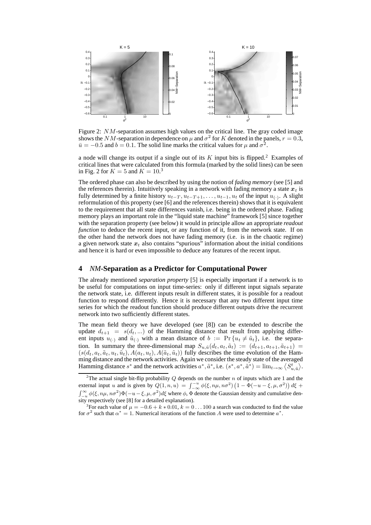

Figure 2: NM-separation assumes high values on the critical line. The gray coded image shows the NM-separation in dependence on  $\mu$  and  $\sigma^2$  for K denoted in the panels,  $r = 0.3$ ,  $\bar{u} = -0.5$  and  $b = 0.1$ . The solid line marks the critical values for  $\mu$  and  $\sigma^2$ .

a node will change its output if a single out of its  $K$  input bits is flipped.<sup>2</sup> Examples of critical lines that were calculated from this formula (marked by the solid lines) can be seen in Fig. 2 for  $K = 5$  and  $K = 10<sup>3</sup>$ 

The ordered phase can also be described by using the notion of *fading memory* (see [5] and the references therein). Intuitively speaking in a network with fading memory a state  $x_t$  is fully determined by a finite history  $u_{t-T}$ ,  $u_{t-T+1}$ , ...,  $u_{t-1}$ ,  $u_t$  of the input  $u_{(\cdot)}$ . A slight reformulation of this property (see [6] and the references therein) shows that it is equivalent to the requirement that all state differences vanish, i.e. being in the ordered phase. Fading memory plays an important role in the "liquid state machine" framework [5] since together with the separation property (see below) it would in principle allow an appropriate *readout function* to deduce the recent input, or any function of it, from the network state. If on the other hand the network does not have fading memory (i.e. is in the chaotic regime) a given network state  $x_t$  also contains "spurious" information about the initial conditions and hence it is hard or even impossible to deduce any features of the recent input.

#### **4** *NM***-Separation as a Predictor for Computational Power**

The already mentioned *separation property* [5] is especially important if a network is to be useful for computations on input time-series: only if different input signals separate the network state, i.e. different inputs result in different states, it is possible for a readout function to respond differently. Hence it is necessary that any two different input time series for which the readout function should produce different outputs drive the recurrent network into two sufficiently different states.

The mean field theory we have developed (see [8]) can be extended to describe the update  $d_{t+1} = s(d_t, \ldots)$  of the Hamming distance that result from applying different inputs  $u_{(\cdot)}$  and  $\tilde{u}_{(\cdot)}$  with a mean distance of  $b := \Pr\{u_t \neq \tilde{u}_t\}$ , i.e. the separation. In summary the three-dimensional map  $S_{u,\tilde{u}}(d_t, a_t, \tilde{a}_t) := (d_{t+1}, a_{t+1}, \tilde{a}_{t+1}) =$  $(s(d_t, a_t, \tilde{a}_t, u_t, \tilde{u}_t), A(a_t, u_t), A(\tilde{a}_t, \tilde{u}_t))$  fully describes the time evolution of the Hamming distance and the network activities. Again we consider the steady state of the averaged Hamming distance  $s^*$  and the network activities  $a^*, \tilde{a}^*,$  i.e.  $(s^*, a^*, \tilde{a}^*) = \lim_{t \to \infty} \langle S_{u, \tilde{u}}^t \rangle$ .

<sup>&</sup>lt;sup>2</sup>The actual single bit-flip probability  $Q$  depends on the number n of inputs which are 1 and the external input u and is given by  $Q(1,n,u) = \int_{-\infty}^{-u} \phi(\xi,n\mu,n\sigma^2) \left(1-\Phi(-u-\xi,\mu,\sigma^2)\right) d\xi$  +  $\int_{-u}^{\infty} \phi(\xi, n\mu, n\sigma^2) \Phi(-u-\xi, \mu, \sigma^2) d\xi$  where  $\phi$ ,  $\Phi$  denote the Gaussian density and cumulative density respectively (see [8] for a detailed explanation).

<sup>&</sup>lt;sup>3</sup>For each value of  $\mu = -0.6 + k * 0.01$ ,  $k = 0 \dots 100$  a search was conducted to find the value for  $\sigma^2$  such that  $\alpha^* = 1$ . Numerical iterations of the function A were used to determine  $\alpha^*$ .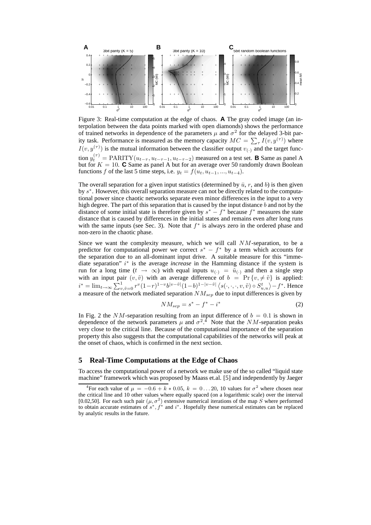

Figure 3: Real-time computation at the edge of chaos. **A** The gray coded image (an interpolation between the data points marked with open diamonds) shows the performance of trained networks in dependence of the parameters  $\mu$  and  $\sigma^2$  for the delayed 3-bit parity task. Performance is measured as the memory capacity  $MC = \sum_{\tau} I(v, y^{(\tau)})$  where  $I(v, y^{(\tau)})$  is the mutual information between the classifier output  $v_{(\cdot)}$  and the target function  $y_t^{(\tau)} = \text{PARITY}(u_{t-\tau}, u_{t-\tau-1}, u_{t-\tau-2})$  measured on a test set. **B** Same as panel A but for  $K = 10$ . **C** Same as panel A but for an average over 50 randomly drawn Boolean functions f of the last 5 time steps, i.e.  $y_t = f(u_t, u_{t-1}, ..., u_{t-4})$ .

The overall separation for a given input statistics (determined by  $\bar{u}$ , r, and b) is then given by s<sup>\*</sup>. However, this overall separation measure can not be directly related to the computational power since chaotic networks separate even minor differences in the input to a very high degree. The part of this separation that is caused by the input distance  $b$  and not by the distance of some initial state is therefore given by  $s^* - f^*$  because  $f^*$  measures the state distance that is caused by differences in the initial states and remains even after long runs with the same inputs (see Sec. 3). Note that  $f^*$  is always zero in the ordered phase and non-zero in the chaotic phase.

Since we want the complexity measure, which we will call  $NM$ -separation, to be a predictor for computational power we correct  $s^* - f^*$  by a term which accounts for the separation due to an all-dominant input drive. A suitable measure for this "immediate separation" i<sup>\*</sup> is the average *increase* in the Hamming distance if the system is run for a long time  $(t \to \infty)$  with equal inputs  $u_{(\cdot)} = \tilde{u}_{(\cdot)}$  and then a single step with an input pair  $(v, \tilde{v})$  with an average difference of  $b = Pr \{v, \neq \tilde{v}\}\$ is applied:  $i^* = \lim_{t \to \infty} \sum_{v, \tilde{v}=0}^{1} r^v (1-r)^{1-v} b^{|v-\tilde{v}|} (1-b)^{1-|v-\tilde{v}|} \langle s(\cdot, \cdot, \cdot, v, \tilde{v}) \circ S_{u,u}^t \rangle - f^*$ . Hence a measure of the network mediated separation  $NM_{sep}$  due to input differences is given by

$$
NM_{sep} = s^* - f^* - i^*
$$
\n<sup>(2)</sup>

In Fig. 2 the NM-separation resulting from an input difference of  $b = 0.1$  is shown in dependence of the network parameters  $\mu$  and  $\sigma^2$ .<sup>4</sup> Note that the *NM*-separation peaks very close to the critical line. Because of the computational importance of the separation property this also suggests that the computational capabilities of the networks will peak at the onset of chaos, which is confirmed in the next section.

#### **5 Real-Time Computations at the Edge of Chaos**

To access the computational power of a network we make use of the so called "liquid state machine" framework which was proposed by Maass et.al. [5] and independently by Jaeger

<sup>&</sup>lt;sup>4</sup>For each value of  $\mu = -0.6 + k * 0.05$ ,  $k = 0...20$ , 10 values for  $\sigma^2$  where chosen near the critical line and 10 other values where equally spaced (on a logarithmic scale) over the interval [0.02,50]. For each such pair  $(\mu, \sigma^2)$  extensive numerical iterations of the map S where performed to obtain accurate estimates of  $s^*$ ,  $f^*$  and  $i^*$ . Hopefully these numerical estimates can be replaced by analytic results in the future.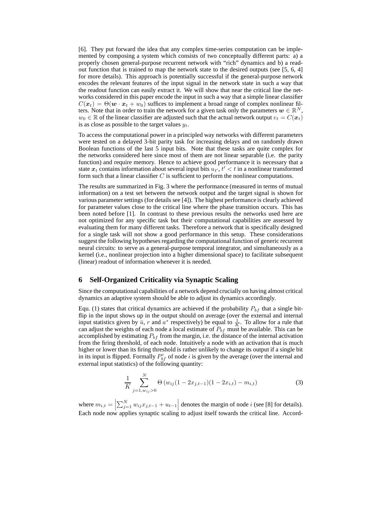[6]. They put forward the idea that any complex time-series computation can be implemented by composing a system which consists of two conceptually different parts: a) a properly chosen general-purpose recurrent network with "rich" dynamics and b) a readout function that is trained to map the network state to the desired outputs (see [5, 6, 4] for more details). This approach is potentially successful if the general-purpose network encodes the relevant features of the input signal in the network state in such a way that the readout function can easily extract it. We will show that near the critical line the networks considered in this paper encode the input in such a way that a simple linear classifier  $C(\mathbf{x}_t) = \Theta(\mathbf{w} \cdot \mathbf{x}_t + w_0)$  suffices to implement a broad range of complex nonlinear filters. Note that in order to train the network for a given task only the parameters  $w \in \mathbb{R}^N$ ,  $w_0 \in \mathbb{R}$  of the linear classifier are adjusted such that the actual network output  $v_t = C(\mathbf{x}_t)$ is as close as possible to the target values  $y_t$ .

To access the computational power in a principled way networks with different parameters were tested on a delayed 3-bit parity task for increasing delays and on randomly drawn Boolean functions of the last 5 input bits. Note that these tasks are quite complex for the networks considered here since most of them are not linear separable (i.e. the parity function) and require memory. Hence to achieve good performance it is necessary that a state  $x_t$  contains information about several input bits  $u_{t}$ ,  $t' < t$  in a nonlinear transformed form such that a linear classifier  $C$  is sufficient to perform the nonlinear computations.

The results are summarized in Fig. 3 where the performance (measured in terms of mutual information) on a test set between the network output and the target signal is shown for various parameter settings (for details see [4]). The highest performance is clearly achieved for parameter values close to the critical line where the phase transition occurs. This has been noted before [1]. In contrast to these previous results the networks used here are not optimized for any specific task but their computational capabilities are assessed by evaluating them for many different tasks. Therefore a network that is specifically designed for a single task will not show a good performance in this setup. These considerations suggest the following hypotheses regarding the computational function of generic recurrent neural circuits: to serve as a general-purpose temporal integrator, and simultaneously as a kernel (i.e., nonlinear projection into a higher dimensional space) to facilitate subsequent (linear) readout of information whenever it is needed.

# **6 Self-Organized Criticality via Synaptic Scaling**

Since the computational capabilities of a network depend crucially on having almost critical dynamics an adaptive system should be able to adjust its dynamics accordingly.

Equ. (1) states that critical dynamics are achieved if the probability  $P_{bf}$  that a single bitflip in the input shows up in the output should on average (over the external and internal input statistics given by  $\bar{u}$ , r and  $a^*$  respectively) be equal to  $\frac{1}{K}$ . To allow for a rule that can adjust the weights of each node a local estimate of  $P_{bf}$  must be available. This can be accomplished by estimating  $P_{bf}$  from the margin, i.e. the distance of the internal activation from the firing threshold, of each node. Intuitively a node with an activation that is much higher or lower than its firing threshold is rather unlikely to change its output if a single bit in its input is flipped. Formally  $P_{bf}^{i}$  of node i is given by the average (over the internal and external input statistics) of the following quantity:

$$
\frac{1}{K} \sum_{j=1, w_{ij} > 0}^{N} \Theta(w_{ij}(1 - 2x_{j,t-1})(1 - 2x_{i,t}) - m_{i,t})
$$
\n(3)

where  $m_{i,t} = \left| \sum_{j=1}^{N} w_{ij} x_{j,t-1} + u_{t-1} \right|$  denotes the margin of node *i* (see [8] for details). Each node now applies synaptic scaling to adjust itself towards the critical line. Accord-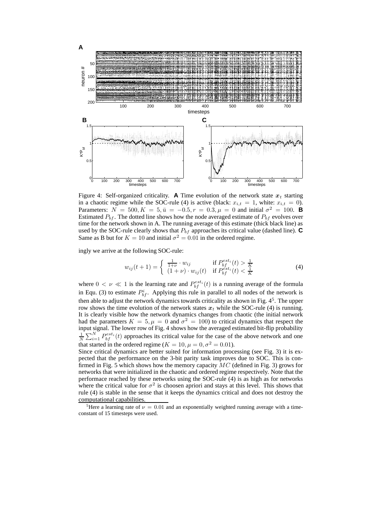

Figure 4: Self-organized criticality. **A** Time evolution of the network state  $x_t$  starting in a chaotic regime while the SOC-rule (4) is active (black:  $x_{i,t} = 1$ , white:  $x_{i,t} = 0$ ). Parameters:  $N = 500, K = 5, \bar{u} = -0.5, r = 0.3, \mu = 0$  and initial  $\sigma^2 = 100$ . **B** Estimated  $P_{bf}$ . The dotted line shows how the node averaged estimate of  $P_{bf}$  evolves over time for the network shown in A. The running average of this estimate (thick black line) as used by the SOC-rule clearly shows that  $P_{bf}$  approaches its critical value (dashed line).  $\mathbf C$ Same as B but for  $K = 10$  and initial  $\sigma^2 = 0.01$  in the ordered regime.

ingly we arrive at the following SOC-rule:

$$
w_{ij}(t+1) = \begin{cases} \frac{1}{1+\nu} \cdot w_{ij} & \text{if } P_{bf}^{est_i}(t) > \frac{1}{K} \\ (1+\nu) \cdot w_{ij}(t) & \text{if } P_{bf}^{est_i}(t) < \frac{1}{K} \end{cases}
$$
(4)

where  $0 < \nu \ll 1$  is the learning rate and  $P_{bf}^{est_i}(t)$  is a running average of the formula in Equ. (3) to estimate  $P_{bf}^{i}$ . Applying this rule in parallel to all nodes of the network is then able to adjust the network dynamics towards criticality as shown in Fig. 4<sup>5</sup>. The upper row shows the time evolution of the network states  $x_t$  while the SOC-rule (4) is running. It is clearly visible how the network dynamics changes from chaotic (the initial network had the parameters  $K = 5, \mu = 0$  and  $\sigma^2 = 100$ ) to critical dynamics that respect the input signal. The lower row of Fig. 4 shows how the averaged estimated bit-flip probability  $\frac{1}{N}\sum_{i=1}^{N} P_{bf}^{est_i}(t)$  approaches its critical value for the case of the above network and one that started in the ordered regime ( $K = 10, \mu = 0, \sigma^2 = 0.01$ ).

Since critical dynamics are better suited for information processing (see Fig. 3) it is expected that the performance on the 3-bit parity task improves due to SOC. This is confirmed in Fig. 5 which shows how the memory capacity  $MC$  (defined in Fig. 3) grows for networks that were initialized in the chaotic and ordered regime respectively. Note that the performace reached by these networks using the SOC-rule (4) is as high as for networks where the critical value for  $\sigma^2$  is choosen apriori and stays at this level. This shows that rule (4) is stable in the sense that it keeps the dynamics critical and does not destroy the computational capabilities.

<sup>&</sup>lt;sup>5</sup>Here a learning rate of  $\nu = 0.01$  and an exponentially weighted running average with a timeconstant of 15 timesteps were used.